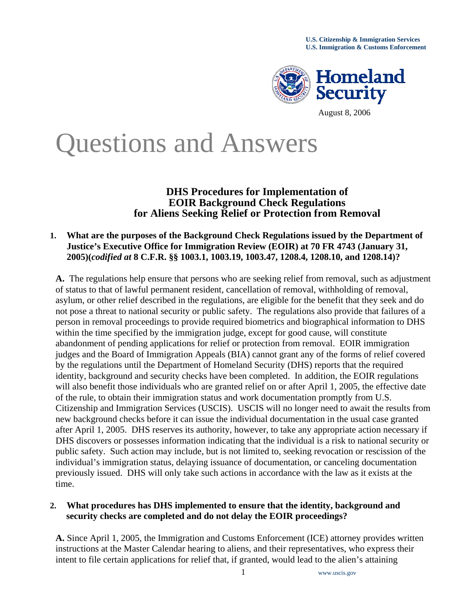

# Questions and Answers

# **DHS Procedures for Implementation of EOIR Background Check Regulations for Aliens Seeking Relief or Protection from Removal**

## **1. What are the purposes of the Background Check Regulations issued by the Department of Justice's Executive Office for Immigration Review (EOIR) at 70 FR 4743 (January 31, 2005)(***codified at* **8 C.F.R. §§ 1003.1, 1003.19, 1003.47, 1208.4, 1208.10, and 1208.14)?**

 **A.** The regulations help ensure that persons who are seeking relief from removal, such as adjustment of status to that of lawful permanent resident, cancellation of removal, withholding of removal, asylum, or other relief described in the regulations, are eligible for the benefit that they seek and do not pose a threat to national security or public safety. The regulations also provide that failures of a person in removal proceedings to provide required biometrics and biographical information to DHS within the time specified by the immigration judge, except for good cause, will constitute abandonment of pending applications for relief or protection from removal. EOIR immigration judges and the Board of Immigration Appeals (BIA) cannot grant any of the forms of relief covered by the regulations until the Department of Homeland Security (DHS) reports that the required identity, background and security checks have been completed. In addition, the EOIR regulations will also benefit those individuals who are granted relief on or after April 1, 2005, the effective date of the rule, to obtain their immigration status and work documentation promptly from U.S. Citizenship and Immigration Services (USCIS). USCIS will no longer need to await the results from new background checks before it can issue the individual documentation in the usual case granted after April 1, 2005. DHS reserves its authority, however, to take any appropriate action necessary if DHS discovers or possesses information indicating that the individual is a risk to national security or public safety. Such action may include, but is not limited to, seeking revocation or rescission of the individual's immigration status, delaying issuance of documentation, or canceling documentation previously issued. DHS will only take such actions in accordance with the law as it exists at the time.

# **2. What procedures has DHS implemented to ensure that the identity, background and security checks are completed and do not delay the EOIR proceedings?**

**A.** Since April 1, 2005, the Immigration and Customs Enforcement (ICE) attorney provides written instructions at the Master Calendar hearing to aliens, and their representatives, who express their intent to file certain applications for relief that, if granted, would lead to the alien's attaining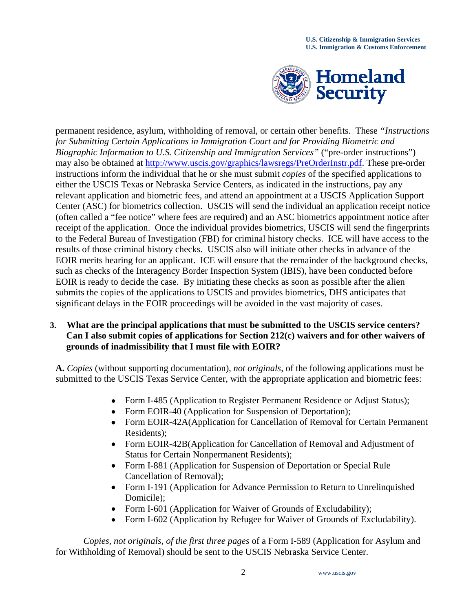

permanent residence, asylum, withholding of removal, or certain other benefits. These *"Instructions for Submitting Certain Applications in Immigration Court and for Providing Biometric and Biographic Information to U.S. Citizenship and Immigration Services"* ("pre-order instructions") may also be obtained at [http://www.uscis.gov/graphics/lawsregs/PreOrderInstr.pdf.](http://www.uscis.gov/graphics/lawsregs/PreOrderInstr.pdf) These pre-order instructions inform the individual that he or she must submit *copies* of the specified applications to either the USCIS Texas or Nebraska Service Centers, as indicated in the instructions, pay any relevant application and biometric fees, and attend an appointment at a USCIS Application Support Center (ASC) for biometrics collection. USCIS will send the individual an application receipt notice (often called a "fee notice" where fees are required) and an ASC biometrics appointment notice after receipt of the application. Once the individual provides biometrics, USCIS will send the fingerprints to the Federal Bureau of Investigation (FBI) for criminal history checks. ICE will have access to the results of those criminal history checks. USCIS also will initiate other checks in advance of the EOIR merits hearing for an applicant. ICE will ensure that the remainder of the background checks, such as checks of the Interagency Border Inspection System (IBIS), have been conducted before EOIR is ready to decide the case. By initiating these checks as soon as possible after the alien submits the copies of the applications to USCIS and provides biometrics, DHS anticipates that significant delays in the EOIR proceedings will be avoided in the vast majority of cases.

## **3. What are the principal applications that must be submitted to the USCIS service centers? Can I also submit copies of applications for Section 212(c) waivers and for other waivers of grounds of inadmissibility that I must file with EOIR?**

**A.** *Copies* (without supporting documentation), *not originals*, of the following applications must be submitted to the USCIS Texas Service Center, with the appropriate application and biometric fees:

- Form I-485 (Application to Register Permanent Residence or Adjust Status);
- Form EOIR-40 (Application for Suspension of Deportation);
- Form EOIR-42A(Application for Cancellation of Removal for Certain Permanent Residents);
- Form EOIR-42B(Application for Cancellation of Removal and Adjustment of Status for Certain Nonpermanent Residents);
- Form I-881 (Application for Suspension of Deportation or Special Rule Cancellation of Removal);
- Form I-191 (Application for Advance Permission to Return to Unrelinquished Domicile);
- Form I-601 (Application for Waiver of Grounds of Excludability);
- Form I-602 (Application by Refugee for Waiver of Grounds of Excludability).

*Copies, not originals, of the first three pages* of a Form I-589 (Application for Asylum and for Withholding of Removal) should be sent to the USCIS Nebraska Service Center.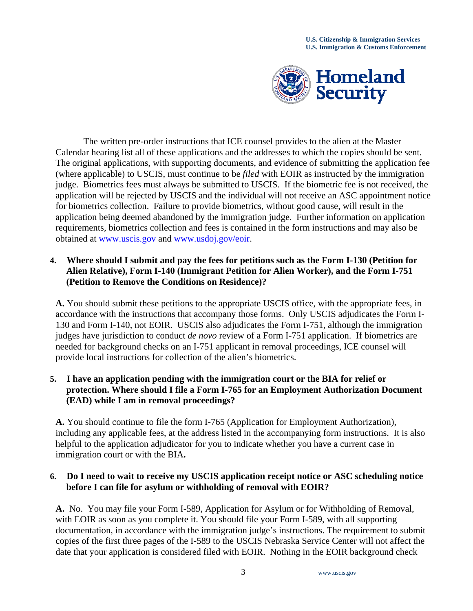

 The written pre-order instructions that ICE counsel provides to the alien at the Master Calendar hearing list all of these applications and the addresses to which the copies should be sent. The original applications, with supporting documents, and evidence of submitting the application fee (where applicable) to USCIS, must continue to be *filed* with EOIR as instructed by the immigration judge. Biometrics fees must always be submitted to USCIS. If the biometric fee is not received, the application will be rejected by USCIS and the individual will not receive an ASC appointment notice for biometrics collection. Failure to provide biometrics, without good cause, will result in the application being deemed abandoned by the immigration judge. Further information on application requirements, biometrics collection and fees is contained in the form instructions and may also be obtained at [www.uscis.gov](http://www.uscis.gov/) and [www.usdoj.gov/eoir](http://www.usdoj.gov/eoir).

# **4. Where should I submit and pay the fees for petitions such as the Form I-130 (Petition for Alien Relative), Form I-140 (Immigrant Petition for Alien Worker), and the Form I-751 (Petition to Remove the Conditions on Residence)?**

**A.** You should submit these petitions to the appropriate USCIS office, with the appropriate fees, in accordance with the instructions that accompany those forms. Only USCIS adjudicates the Form I-130 and Form I-140, not EOIR. USCIS also adjudicates the Form I-751, although the immigration judges have jurisdiction to conduct *de novo* review of a Form I-751 application. If biometrics are needed for background checks on an I-751 applicant in removal proceedings, ICE counsel will provide local instructions for collection of the alien's biometrics.

# **5. I have an application pending with the immigration court or the BIA for relief or protection. Where should I file a Form I-765 for an Employment Authorization Document (EAD) while I am in removal proceedings?**

**A.** You should continue to file the form I-765 (Application for Employment Authorization), including any applicable fees, at the address listed in the accompanying form instructions. It is also helpful to the application adjudicator for you to indicate whether you have a current case in immigration court or with the BIA**.** 

# **6. Do I need to wait to receive my USCIS application receipt notice or ASC scheduling notice before I can file for asylum or withholding of removal with EOIR?**

**A.** No. You may file your Form I-589, Application for Asylum or for Withholding of Removal, with EOIR as soon as you complete it. You should file your Form I-589, with all supporting documentation, in accordance with the immigration judge's instructions. The requirement to submit copies of the first three pages of the I-589 to the USCIS Nebraska Service Center will not affect the date that your application is considered filed with EOIR. Nothing in the EOIR background check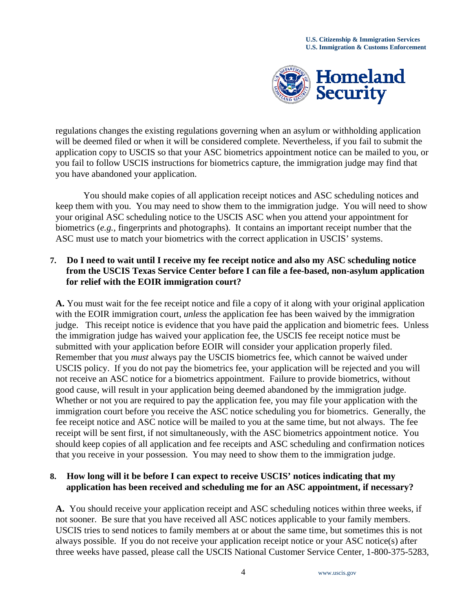

regulations changes the existing regulations governing when an asylum or withholding application will be deemed filed or when it will be considered complete. Nevertheless, if you fail to submit the application copy to USCIS so that your ASC biometrics appointment notice can be mailed to you, or you fail to follow USCIS instructions for biometrics capture, the immigration judge may find that you have abandoned your application.

 You should make copies of all application receipt notices and ASC scheduling notices and keep them with you. You may need to show them to the immigration judge. You will need to show your original ASC scheduling notice to the USCIS ASC when you attend your appointment for biometrics (*e.g.,* fingerprints and photographs). It contains an important receipt number that the ASC must use to match your biometrics with the correct application in USCIS' systems.

# **7. Do I need to wait until I receive my fee receipt notice and also my ASC scheduling notice from the USCIS Texas Service Center before I can file a fee-based, non-asylum application for relief with the EOIR immigration court?**

**A.** You must wait for the fee receipt notice and file a copy of it along with your original application with the EOIR immigration court, *unless* the application fee has been waived by the immigration judge. This receipt notice is evidence that you have paid the application and biometric fees. Unless the immigration judge has waived your application fee, the USCIS fee receipt notice must be submitted with your application before EOIR will consider your application properly filed. Remember that you *must* always pay the USCIS biometrics fee, which cannot be waived under USCIS policy. If you do not pay the biometrics fee, your application will be rejected and you will not receive an ASC notice for a biometrics appointment. Failure to provide biometrics, without good cause, will result in your application being deemed abandoned by the immigration judge. Whether or not you are required to pay the application fee, you may file your application with the immigration court before you receive the ASC notice scheduling you for biometrics. Generally, the fee receipt notice and ASC notice will be mailed to you at the same time, but not always. The fee receipt will be sent first, if not simultaneously, with the ASC biometrics appointment notice. You should keep copies of all application and fee receipts and ASC scheduling and confirmation notices that you receive in your possession. You may need to show them to the immigration judge.

# **8. How long will it be before I can expect to receive USCIS' notices indicating that my application has been received and scheduling me for an ASC appointment, if necessary?**

**A.** You should receive your application receipt and ASC scheduling notices within three weeks, if not sooner. Be sure that you have received all ASC notices applicable to your family members. USCIS tries to send notices to family members at or about the same time, but sometimes this is not always possible. If you do not receive your application receipt notice or your ASC notice(s) after three weeks have passed, please call the USCIS National Customer Service Center, 1-800-375-5283,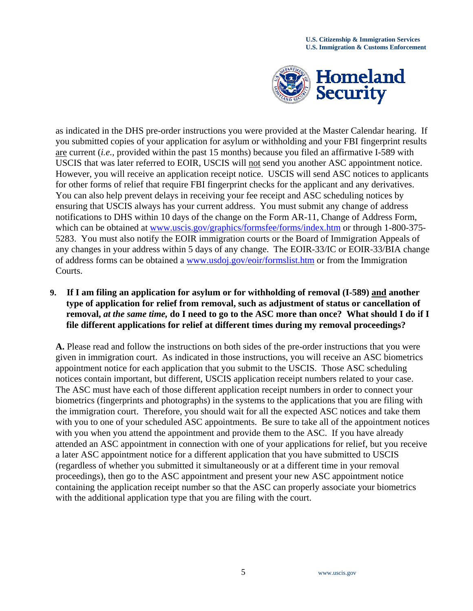

as indicated in the DHS pre-order instructions you were provided at the Master Calendar hearing. If you submitted copies of your application for asylum or withholding and your FBI fingerprint results are current (*i.e.,* provided within the past 15 months) because you filed an affirmative I-589 with USCIS that was later referred to EOIR, USCIS will not send you another ASC appointment notice. However, you will receive an application receipt notice. USCIS will send ASC notices to applicants for other forms of relief that require FBI fingerprint checks for the applicant and any derivatives. You can also help prevent delays in receiving your fee receipt and ASC scheduling notices by ensuring that USCIS always has your current address. You must submit any change of address notifications to DHS within 10 days of the change on the Form AR-11, Change of Address Form, which can be obtained at [www.uscis.gov/graphics/formsfee/forms/index.htm](http://www.uscis.gov/graphics/formsfee/forms/index.htm) or through 1-800-375-5283. You must also notify the EOIR immigration courts or the Board of Immigration Appeals of any changes in your address within 5 days of any change. The EOIR-33/IC or EOIR-33/BIA change of address forms can be obtained a [www.usdoj.gov/eoir/formslist.htm](http://www.usdoj.gov/eoir/formslist.htm) or from the Immigration Courts.

## **9. If I am filing an application for asylum or for withholding of removal (I-589) and another type of application for relief from removal, such as adjustment of status or cancellation of removal,** *at the same time,* **do I need to go to the ASC more than once? What should I do if I file different applications for relief at different times during my removal proceedings?**

**A.** Please read and follow the instructions on both sides of the pre-order instructions that you were given in immigration court. As indicated in those instructions, you will receive an ASC biometrics appointment notice for each application that you submit to the USCIS. Those ASC scheduling notices contain important, but different, USCIS application receipt numbers related to your case. The ASC must have each of those different application receipt numbers in order to connect your biometrics (fingerprints and photographs) in the systems to the applications that you are filing with the immigration court. Therefore, you should wait for all the expected ASC notices and take them with you to one of your scheduled ASC appointments. Be sure to take all of the appointment notices with you when you attend the appointment and provide them to the ASC. If you have already attended an ASC appointment in connection with one of your applications for relief, but you receive a later ASC appointment notice for a different application that you have submitted to USCIS (regardless of whether you submitted it simultaneously or at a different time in your removal proceedings), then go to the ASC appointment and present your new ASC appointment notice containing the application receipt number so that the ASC can properly associate your biometrics with the additional application type that you are filing with the court.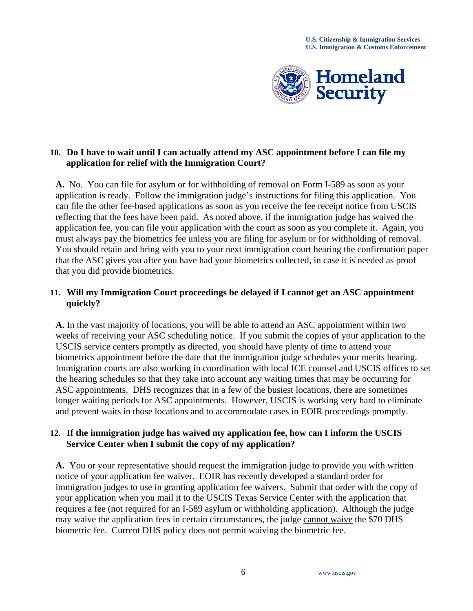

## **10. Do I have to wait until I can actually attend my ASC appointment before I can file my application for relief with the Immigration Court?**

**A.** No. You can file for asylum or for withholding of removal on Form I-589 as soon as your application is ready. Follow the immigration judge's instructions for filing this application. You can file the other fee-based applications as soon as you receive the fee receipt notice from USCIS reflecting that the fees have been paid. As noted above, if the immigration judge has waived the application fee, you can file your application with the court as soon as you complete it. Again, you must always pay the biometrics fee unless you are filing for asylum or for withholding of removal. You should retain and bring with you to your next immigration court hearing the confirmation paper that the ASC gives you after you have had your biometrics collected, in case it is needed as proof that you did provide biometrics.

## **11. Will my Immigration Court proceedings be delayed if I cannot get an ASC appointment quickly?**

**A.** In the vast majority of locations, you will be able to attend an ASC appointment within two weeks of receiving your ASC scheduling notice. If you submit the copies of your application to the USCIS service centers promptly as directed, you should have plenty of time to attend your biometrics appointment before the date that the immigration judge schedules your merits hearing. Immigration courts are also working in coordination with local ICE counsel and USCIS offices to set the hearing schedules so that they take into account any waiting times that may be occurring for ASC appointments. DHS recognizes that in a few of the busiest locations, there are sometimes longer waiting periods for ASC appointments. However, USCIS is working very hard to eliminate and prevent waits in those locations and to accommodate cases in EOIR proceedings promptly.

# **12. If the immigration judge has waived my application fee, how can I inform the USCIS Service Center when I submit the copy of my application?**

**A.** You or your representative should request the immigration judge to provide you with written notice of your application fee waiver. EOIR has recently developed a standard order for immigration judges to use in granting application fee waivers. Submit that order with the copy of your application when you mail it to the USCIS Texas Service Center with the application that requires a fee (not required for an I-589 asylum or withholding application). Although the judge may waive the application fees in certain circumstances, the judge cannot waive the \$70 DHS biometric fee. Current DHS policy does not permit waiving the biometric fee.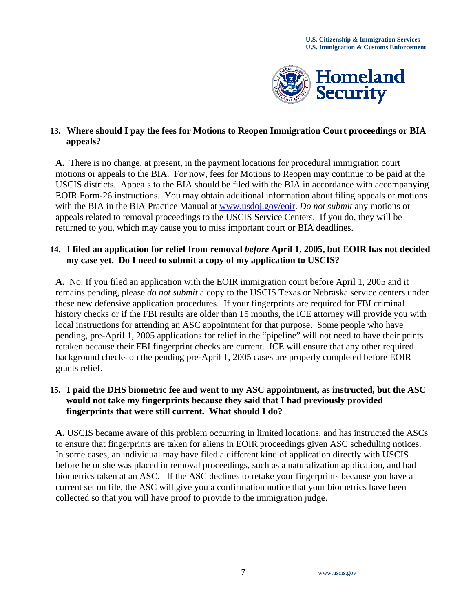

# **13. Where should I pay the fees for Motions to Reopen Immigration Court proceedings or BIA appeals?**

**A.** There is no change, at present, in the payment locations for procedural immigration court motions or appeals to the BIA. For now, fees for Motions to Reopen may continue to be paid at the USCIS districts. Appeals to the BIA should be filed with the BIA in accordance with accompanying EOIR Form-26 instructions. You may obtain additional information about filing appeals or motions with the BIA in the BIA Practice Manual at [www.usdoj.gov/eoir](http://www.usdoj.gov/eoir). *Do not submit* any motions or appeals related to removal proceedings to the USCIS Service Centers. If you do, they will be returned to you, which may cause you to miss important court or BIA deadlines.

# **14. I filed an application for relief from removal** *before* **April 1, 2005, but EOIR has not decided my case yet. Do I need to submit a copy of my application to USCIS?**

**A.** No. If you filed an application with the EOIR immigration court before April 1, 2005 and it remains pending, please *do not submit* a copy to the USCIS Texas or Nebraska service centers under these new defensive application procedures. If your fingerprints are required for FBI criminal history checks or if the FBI results are older than 15 months, the ICE attorney will provide you with local instructions for attending an ASC appointment for that purpose. Some people who have pending, pre-April 1, 2005 applications for relief in the "pipeline" will not need to have their prints retaken because their FBI fingerprint checks are current. ICE will ensure that any other required background checks on the pending pre-April 1, 2005 cases are properly completed before EOIR grants relief.

# **15. I paid the DHS biometric fee and went to my ASC appointment, as instructed, but the ASC would not take my fingerprints because they said that I had previously provided fingerprints that were still current. What should I do?**

**A.** USCIS became aware of this problem occurring in limited locations, and has instructed the ASCs to ensure that fingerprints are taken for aliens in EOIR proceedings given ASC scheduling notices. In some cases, an individual may have filed a different kind of application directly with USCIS before he or she was placed in removal proceedings, such as a naturalization application, and had biometrics taken at an ASC. If the ASC declines to retake your fingerprints because you have a current set on file, the ASC will give you a confirmation notice that your biometrics have been collected so that you will have proof to provide to the immigration judge.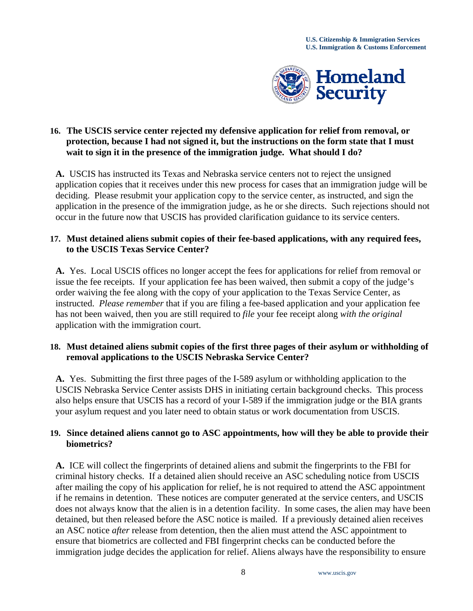

# **16. The USCIS service center rejected my defensive application for relief from removal, or protection, because I had not signed it, but the instructions on the form state that I must wait to sign it in the presence of the immigration judge. What should I do?**

**A.** USCIS has instructed its Texas and Nebraska service centers not to reject the unsigned application copies that it receives under this new process for cases that an immigration judge will be deciding. Please resubmit your application copy to the service center, as instructed, and sign the application in the presence of the immigration judge, as he or she directs. Such rejections should not occur in the future now that USCIS has provided clarification guidance to its service centers.

# **17. Must detained aliens submit copies of their fee-based applications, with any required fees, to the USCIS Texas Service Center?**

**A.** Yes. Local USCIS offices no longer accept the fees for applications for relief from removal or issue the fee receipts. If your application fee has been waived, then submit a copy of the judge's order waiving the fee along with the copy of your application to the Texas Service Center, as instructed. *Please remember* that if you are filing a fee-based application and your application fee has not been waived, then you are still required to *file* your fee receipt along *with the original*  application with the immigration court.

# **18. Must detained aliens submit copies of the first three pages of their asylum or withholding of removal applications to the USCIS Nebraska Service Center?**

**A.** Yes. Submitting the first three pages of the I-589 asylum or withholding application to the USCIS Nebraska Service Center assists DHS in initiating certain background checks. This process also helps ensure that USCIS has a record of your I-589 if the immigration judge or the BIA grants your asylum request and you later need to obtain status or work documentation from USCIS.

# **19. Since detained aliens cannot go to ASC appointments, how will they be able to provide their biometrics?**

**A.** ICE will collect the fingerprints of detained aliens and submit the fingerprints to the FBI for criminal history checks. If a detained alien should receive an ASC scheduling notice from USCIS after mailing the copy of his application for relief, he is not required to attend the ASC appointment if he remains in detention. These notices are computer generated at the service centers, and USCIS does not always know that the alien is in a detention facility. In some cases, the alien may have been detained, but then released before the ASC notice is mailed. If a previously detained alien receives an ASC notice *after* release from detention, then the alien must attend the ASC appointment to ensure that biometrics are collected and FBI fingerprint checks can be conducted before the immigration judge decides the application for relief. Aliens always have the responsibility to ensure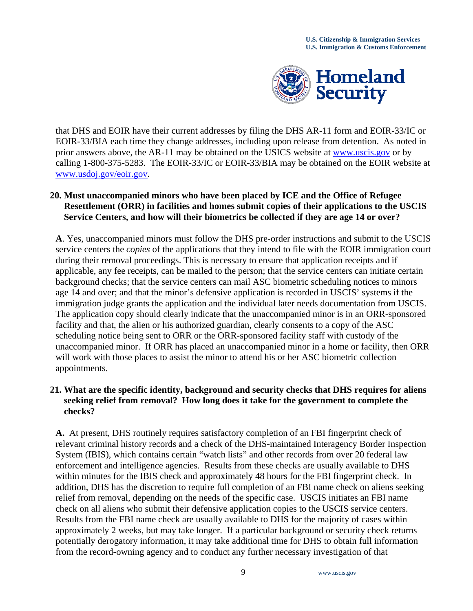

that DHS and EOIR have their current addresses by filing the DHS AR-11 form and EOIR-33/IC or EOIR-33/BIA each time they change addresses, including upon release from detention. As noted in prior answers above, the AR-11 may be obtained on the USICS website at [www.uscis.gov](http://www.uscis.gov/) or by calling 1-800-375-5283. The EOIR-33/IC or EOIR-33/BIA may be obtained on the EOIR website at [www.usdoj.gov/eoir.gov.](http://www.usdoj.gov/eoir.gov)

### **20. Must unaccompanied minors who have been placed by ICE and the Office of Refugee Resettlement (ORR) in facilities and homes submit copies of their applications to the USCIS Service Centers, and how will their biometrics be collected if they are age 14 or over?**

**A**. Yes, unaccompanied minors must follow the DHS pre-order instructions and submit to the USCIS service centers the *copies* of the applications that they intend to file with the EOIR immigration court during their removal proceedings. This is necessary to ensure that application receipts and if applicable, any fee receipts, can be mailed to the person; that the service centers can initiate certain background checks; that the service centers can mail ASC biometric scheduling notices to minors age 14 and over; and that the minor's defensive application is recorded in USCIS' systems if the immigration judge grants the application and the individual later needs documentation from USCIS. The application copy should clearly indicate that the unaccompanied minor is in an ORR-sponsored facility and that, the alien or his authorized guardian, clearly consents to a copy of the ASC scheduling notice being sent to ORR or the ORR-sponsored facility staff with custody of the unaccompanied minor. If ORR has placed an unaccompanied minor in a home or facility, then ORR will work with those places to assist the minor to attend his or her ASC biometric collection appointments.

### **21. What are the specific identity, background and security checks that DHS requires for aliens seeking relief from removal? How long does it take for the government to complete the checks?**

**A.** At present, DHS routinely requires satisfactory completion of an FBI fingerprint check of relevant criminal history records and a check of the DHS-maintained Interagency Border Inspection System (IBIS), which contains certain "watch lists" and other records from over 20 federal law enforcement and intelligence agencies. Results from these checks are usually available to DHS within minutes for the IBIS check and approximately 48 hours for the FBI fingerprint check. In addition, DHS has the discretion to require full completion of an FBI name check on aliens seeking relief from removal, depending on the needs of the specific case. USCIS initiates an FBI name check on all aliens who submit their defensive application copies to the USCIS service centers. Results from the FBI name check are usually available to DHS for the majority of cases within approximately 2 weeks, but may take longer. If a particular background or security check returns potentially derogatory information, it may take additional time for DHS to obtain full information from the record-owning agency and to conduct any further necessary investigation of that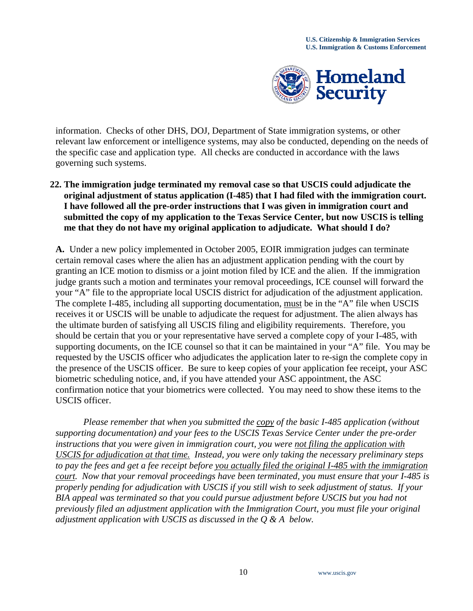

information. Checks of other DHS, DOJ, Department of State immigration systems, or other relevant law enforcement or intelligence systems, may also be conducted, depending on the needs of the specific case and application type. All checks are conducted in accordance with the laws governing such systems.

**22. The immigration judge terminated my removal case so that USCIS could adjudicate the original adjustment of status application (I-485) that I had filed with the immigration court. I have followed all the pre-order instructions that I was given in immigration court and submitted the copy of my application to the Texas Service Center, but now USCIS is telling me that they do not have my original application to adjudicate. What should I do?** 

**A.** Under a new policy implemented in October 2005, EOIR immigration judges can terminate certain removal cases where the alien has an adjustment application pending with the court by granting an ICE motion to dismiss or a joint motion filed by ICE and the alien. If the immigration judge grants such a motion and terminates your removal proceedings, ICE counsel will forward the your "A" file to the appropriate local USCIS district for adjudication of the adjustment application. The complete I-485, including all supporting documentation, must be in the "A" file when USCIS receives it or USCIS will be unable to adjudicate the request for adjustment. The alien always has the ultimate burden of satisfying all USCIS filing and eligibility requirements. Therefore, you should be certain that you or your representative have served a complete copy of your I-485, with supporting documents, on the ICE counsel so that it can be maintained in your "A" file. You may be requested by the USCIS officer who adjudicates the application later to re-sign the complete copy in the presence of the USCIS officer. Be sure to keep copies of your application fee receipt, your ASC biometric scheduling notice, and, if you have attended your ASC appointment, the ASC confirmation notice that your biometrics were collected. You may need to show these items to the USCIS officer.

 *Please remember that when you submitted the copy of the basic I-485 application (without supporting documentation) and your fees to the USCIS Texas Service Center under the pre-order instructions that you were given in immigration court, you were not filing the application with USCIS for adjudication at that time. Instead, you were only taking the necessary preliminary steps to pay the fees and get a fee receipt before you actually filed the original I-485 with the immigration court. Now that your removal proceedings have been terminated, you must ensure that your I-485 is properly pending for adjudication with USCIS if you still wish to seek adjustment of status. If your BIA appeal was terminated so that you could pursue adjustment before USCIS but you had not previously filed an adjustment application with the Immigration Court, you must file your original adjustment application with USCIS as discussed in the Q & A below.*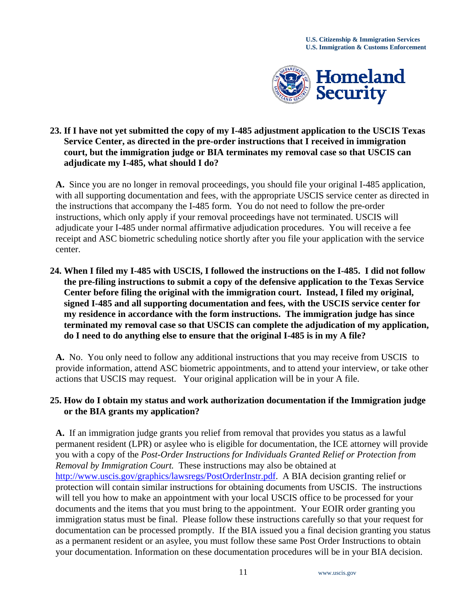

## **23. If I have not yet submitted the copy of my I-485 adjustment application to the USCIS Texas Service Center, as directed in the pre-order instructions that I received in immigration court, but the immigration judge or BIA terminates my removal case so that USCIS can adjudicate my I-485, what should I do?**

**A.** Since you are no longer in removal proceedings, you should file your original I-485 application, with all supporting documentation and fees, with the appropriate USCIS service center as directed in the instructions that accompany the I-485 form. You do not need to follow the pre-order instructions, which only apply if your removal proceedings have not terminated. USCIS will adjudicate your I-485 under normal affirmative adjudication procedures. You will receive a fee receipt and ASC biometric scheduling notice shortly after you file your application with the service center.

**24. When I filed my I-485 with USCIS, I followed the instructions on the I-485. I did not follow the pre-filing instructions to submit a copy of the defensive application to the Texas Service Center before filing the original with the immigration court. Instead, I filed my original, signed I-485 and all supporting documentation and fees, with the USCIS service center for my residence in accordance with the form instructions. The immigration judge has since terminated my removal case so that USCIS can complete the adjudication of my application, do I need to do anything else to ensure that the original I-485 is in my A file?** 

**A.** No. You only need to follow any additional instructions that you may receive from USCIS to provide information, attend ASC biometric appointments, and to attend your interview, or take other actions that USCIS may request. Your original application will be in your A file.

# **25. How do I obtain my status and work authorization documentation if the Immigration judge or the BIA grants my application?**

 **A.** If an immigration judge grants you relief from removal that provides you status as a lawful permanent resident (LPR) or asylee who is eligible for documentation, the ICE attorney will provide you with a copy of the *Post-Order Instructions for Individuals Granted Relief or Protection from Removal by Immigration Court.* These instructions may also be obtained at <http://www.uscis.gov/graphics/lawsregs/PostOrderInstr.pdf>. A BIA decision granting relief or protection will contain similar instructions for obtaining documents from USCIS. The instructions will tell you how to make an appointment with your local USCIS office to be processed for your documents and the items that you must bring to the appointment. Your EOIR order granting you immigration status must be final. Please follow these instructions carefully so that your request for documentation can be processed promptly. If the BIA issued you a final decision granting you status as a permanent resident or an asylee, you must follow these same Post Order Instructions to obtain your documentation. Information on these documentation procedures will be in your BIA decision.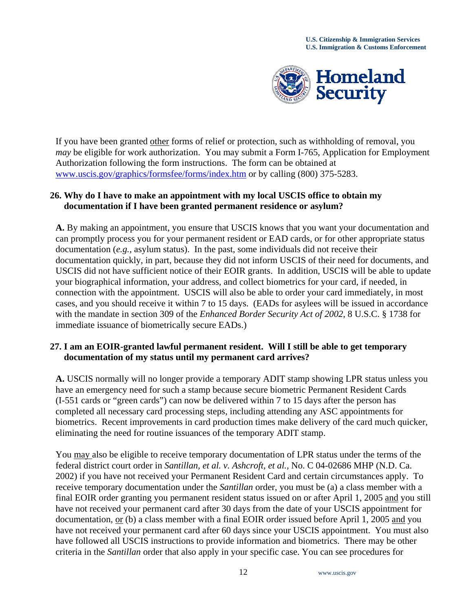

If you have been granted other forms of relief or protection, such as withholding of removal, you *may* be eligible for work authorization. You may submit a Form I-765, Application for Employment Authorization following the form instructions. The form can be obtained at [www.uscis.gov/graphics/formsfee/forms/index.htm](http://www.uscis.gov/graphics/formsfee/forms/index.htm) or by calling (800) 375-5283.

# **26. Why do I have to make an appointment with my local USCIS office to obtain my documentation if I have been granted permanent residence or asylum?**

 **A.** By making an appointment, you ensure that USCIS knows that you want your documentation and can promptly process you for your permanent resident or EAD cards, or for other appropriate status documentation (*e.g.,* asylum status). In the past, some individuals did not receive their documentation quickly, in part, because they did not inform USCIS of their need for documents, and USCIS did not have sufficient notice of their EOIR grants. In addition, USCIS will be able to update your biographical information, your address, and collect biometrics for your card, if needed, in connection with the appointment. USCIS will also be able to order your card immediately, in most cases, and you should receive it within 7 to 15 days. (EADs for asylees will be issued in accordance with the mandate in section 309 of the *Enhanced Border Security Act of 2002*, 8 U.S.C. § 1738 for immediate issuance of biometrically secure EADs.)

#### **27. I am an EOIR-granted lawful permanent resident. Will I still be able to get temporary documentation of my status until my permanent card arrives?**

**A.** USCIS normally will no longer provide a temporary ADIT stamp showing LPR status unless you have an emergency need for such a stamp because secure biometric Permanent Resident Cards (I-551 cards or "green cards") can now be delivered within 7 to 15 days after the person has completed all necessary card processing steps, including attending any ASC appointments for biometrics. Recent improvements in card production times make delivery of the card much quicker, eliminating the need for routine issuances of the temporary ADIT stamp.

You may also be eligible to receive temporary documentation of LPR status under the terms of the federal district court order in *Santillan, et al. v. Ashcroft, et al.,* No. C 04-02686 MHP (N.D. Ca. 2002) if you have not received your Permanent Resident Card and certain circumstances apply. To receive temporary documentation under the *Santillan* order, you must be (a) a class member with a final EOIR order granting you permanent resident status issued on or after April 1, 2005 and you still have not received your permanent card after 30 days from the date of your USCIS appointment for documentation, or (b) a class member with a final EOIR order issued before April 1, 2005 and you have not received your permanent card after 60 days since your USCIS appointment. You must also have followed all USCIS instructions to provide information and biometrics. There may be other criteria in the *Santillan* order that also apply in your specific case. You can see procedures for